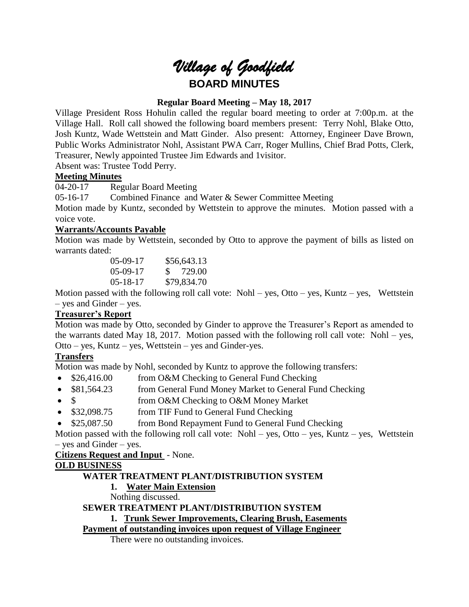# *Village of Goodfield* **BOARD MINUTES**

# **Regular Board Meeting – May 18, 2017**

Village President Ross Hohulin called the regular board meeting to order at 7:00p.m. at the Village Hall. Roll call showed the following board members present: Terry Nohl, Blake Otto, Josh Kuntz, Wade Wettstein and Matt Ginder. Also present: Attorney, Engineer Dave Brown, Public Works Administrator Nohl, Assistant PWA Carr, Roger Mullins, Chief Brad Potts, Clerk, Treasurer, Newly appointed Trustee Jim Edwards and 1visitor.

Absent was: Trustee Todd Perry.

## **Meeting Minutes**

04-20-17 Regular Board Meeting

05-16-17 Combined Finance and Water & Sewer Committee Meeting

Motion made by Kuntz, seconded by Wettstein to approve the minutes. Motion passed with a voice vote.

## **Warrants/Accounts Payable**

Motion was made by Wettstein, seconded by Otto to approve the payment of bills as listed on warrants dated:

| $05-09-17$     | \$56,643.13 |
|----------------|-------------|
| $05-09-17$     | \$ 729.00   |
| $05 - 18 - 17$ | \$79,834.70 |

Motion passed with the following roll call vote:  $Nohl - yes$ ,  $Otto - yes$ ,  $Kuntz - yes$ , Wettstein – yes and Ginder – yes.

#### **Treasurer's Report**

Motion was made by Otto, seconded by Ginder to approve the Treasurer's Report as amended to the warrants dated May 18, 2017. Motion passed with the following roll call vote: Nohl – yes, Otto – yes, Kuntz – yes, Wettstein – yes and Ginder-yes.

# **Transfers**

Motion was made by Nohl, seconded by Kuntz to approve the following transfers:

- \$26,416.00 from O&M Checking to General Fund Checking
- \$81,564.23 from General Fund Money Market to General Fund Checking
- \$ from O&M Checking to O&M Money Market
- \$32,098.75 from TIF Fund to General Fund Checking
- \$25,087.50 from Bond Repayment Fund to General Fund Checking

Motion passed with the following roll call vote: Nohl – yes, Otto – yes, Kuntz – yes, Wettstein – yes and Ginder – yes.

# **Citizens Request and Input** - None.

# **OLD BUSINESS**

# **WATER TREATMENT PLANT/DISTRIBUTION SYSTEM**

# **1. Water Main Extension**

Nothing discussed.

# **SEWER TREATMENT PLANT/DISTRIBUTION SYSTEM**

# **1. Trunk Sewer Improvements, Clearing Brush, Easements**

# **Payment of outstanding invoices upon request of Village Engineer**

There were no outstanding invoices.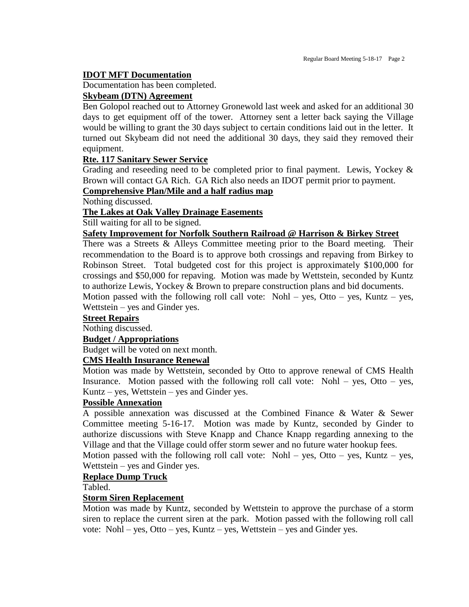### **IDOT MFT Documentation**

Documentation has been completed.

#### **Skybeam (DTN) Agreement**

Ben Golopol reached out to Attorney Gronewold last week and asked for an additional 30 days to get equipment off of the tower. Attorney sent a letter back saying the Village would be willing to grant the 30 days subject to certain conditions laid out in the letter. It turned out Skybeam did not need the additional 30 days, they said they removed their equipment.

## **Rte. 117 Sanitary Sewer Service**

Grading and reseeding need to be completed prior to final payment. Lewis, Yockey & Brown will contact GA Rich. GA Rich also needs an IDOT permit prior to payment.

# **Comprehensive Plan/Mile and a half radius map**

Nothing discussed.

#### **The Lakes at Oak Valley Drainage Easements**

Still waiting for all to be signed.

#### **Safety Improvement for Norfolk Southern Railroad @ Harrison & Birkey Street**

There was a Streets & Alleys Committee meeting prior to the Board meeting. Their recommendation to the Board is to approve both crossings and repaving from Birkey to Robinson Street. Total budgeted cost for this project is approximately \$100,000 for crossings and \$50,000 for repaving. Motion was made by Wettstein, seconded by Kuntz to authorize Lewis, Yockey & Brown to prepare construction plans and bid documents.

Motion passed with the following roll call vote: Nohl – yes, Otto – yes, Kuntz – yes, Wettstein – yes and Ginder yes.

#### **Street Repairs**

Nothing discussed.

#### **Budget / Appropriations**

Budget will be voted on next month.

## **CMS Health Insurance Renewal**

Motion was made by Wettstein, seconded by Otto to approve renewal of CMS Health Insurance. Motion passed with the following roll call vote: Nohl – yes, Otto – yes, Kuntz – yes, Wettstein – yes and Ginder yes.

#### **Possible Annexation**

A possible annexation was discussed at the Combined Finance & Water & Sewer Committee meeting 5-16-17. Motion was made by Kuntz, seconded by Ginder to authorize discussions with Steve Knapp and Chance Knapp regarding annexing to the Village and that the Village could offer storm sewer and no future water hookup fees.

Motion passed with the following roll call vote: Nohl – yes, Otto – yes, Kuntz – yes, Wettstein – yes and Ginder yes.

## **Replace Dump Truck**

Tabled.

## **Storm Siren Replacement**

Motion was made by Kuntz, seconded by Wettstein to approve the purchase of a storm siren to replace the current siren at the park. Motion passed with the following roll call vote: Nohl – yes, Otto – yes, Kuntz – yes, Wettstein – yes and Ginder yes.